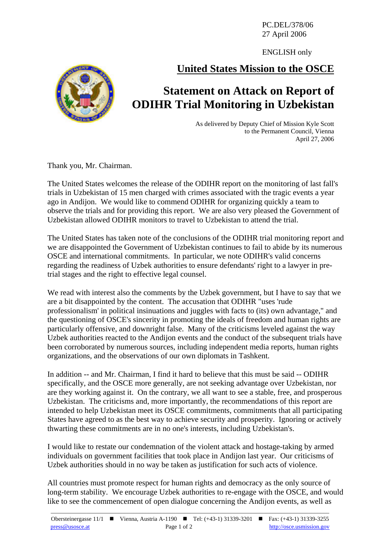PC.DEL/378/06 27 April 2006

ENGLISH only

## **United States Mission to the OSCE**

## **Statement on Attack on Report of ODIHR Trial Monitoring in Uzbekistan**

As delivered by Deputy Chief of Mission Kyle Scott to the Permanent Council, Vienna April 27, 2006

Thank you, Mr. Chairman.

The United States welcomes the release of the ODIHR report on the monitoring of last fall's trials in Uzbekistan of 15 men charged with crimes associated with the tragic events a year ago in Andijon. We would like to commend ODIHR for organizing quickly a team to observe the trials and for providing this report. We are also very pleased the Government of Uzbekistan allowed ODIHR monitors to travel to Uzbekistan to attend the trial.

The United States has taken note of the conclusions of the ODIHR trial monitoring report and we are disappointed the Government of Uzbekistan continues to fail to abide by its numerous OSCE and international commitments. In particular, we note ODIHR's valid concerns regarding the readiness of Uzbek authorities to ensure defendants' right to a lawyer in pretrial stages and the right to effective legal counsel.

We read with interest also the comments by the Uzbek government, but I have to say that we are a bit disappointed by the content. The accusation that ODIHR "uses 'rude professionalism' in political insinuations and juggles with facts to (its) own advantage," and the questioning of OSCE's sincerity in promoting the ideals of freedom and human rights are particularly offensive, and downright false. Many of the criticisms leveled against the way Uzbek authorities reacted to the Andijon events and the conduct of the subsequent trials have been corroborated by numerous sources, including independent media reports, human rights organizations, and the observations of our own diplomats in Tashkent.

In addition -- and Mr. Chairman, I find it hard to believe that this must be said -- ODIHR specifically, and the OSCE more generally, are not seeking advantage over Uzbekistan, nor are they working against it. On the contrary, we all want to see a stable, free, and prosperous Uzbekistan. The criticisms and, more importantly, the recommendations of this report are intended to help Uzbekistan meet its OSCE commitments, commitments that all participating States have agreed to as the best way to achieve security and prosperity. Ignoring or actively thwarting these commitments are in no one's interests, including Uzbekistan's.

I would like to restate our condemnation of the violent attack and hostage-taking by armed individuals on government facilities that took place in Andijon last year. Our criticisms of Uzbek authorities should in no way be taken as justification for such acts of violence.

All countries must promote respect for human rights and democracy as the only source of long-term stability. We encourage Uzbek authorities to re-engage with the OSCE, and would like to see the commencement of open dialogue concerning the Andijon events, as well as